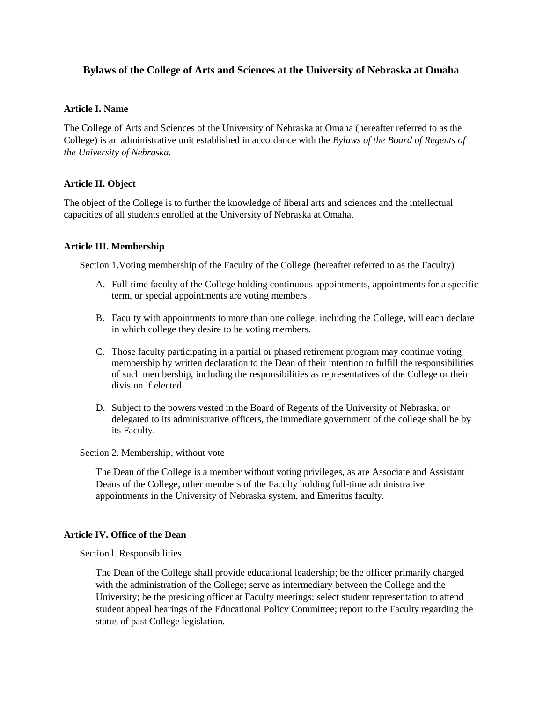# **Bylaws of the College of Arts and Sciences at the University of Nebraska at Omaha**

## **Article I. Name**

The College of Arts and Sciences of the University of Nebraska at Omaha (hereafter referred to as the College) is an administrative unit established in accordance with the *Bylaws of the Board of Regents of the University of Nebraska.*

# **Article II. Object**

The object of the College is to further the knowledge of liberal arts and sciences and the intellectual capacities of all students enrolled at the University of Nebraska at Omaha.

# **Article III. Membership**

Section 1.Voting membership of the Faculty of the College (hereafter referred to as the Faculty)

- A. Full-time faculty of the College holding continuous appointments, appointments for a specific term, or special appointments are voting members.
- B. Faculty with appointments to more than one college, including the College, will each declare in which college they desire to be voting members.
- C. Those faculty participating in a partial or phased retirement program may continue voting membership by written declaration to the Dean of their intention to fulfill the responsibilities of such membership, including the responsibilities as representatives of the College or their division if elected.
- D. Subject to the powers vested in the Board of Regents of the University of Nebraska, or delegated to its administrative officers, the immediate government of the college shall be by its Faculty.

Section 2. Membership, without vote

The Dean of the College is a member without voting privileges, as are Associate and Assistant Deans of the College, other members of the Faculty holding full-time administrative appointments in the University of Nebraska system, and Emeritus faculty.

# **Article IV. Office of the Dean**

Section l. Responsibilities

The Dean of the College shall provide educational leadership; be the officer primarily charged with the administration of the College; serve as intermediary between the College and the University; be the presiding officer at Faculty meetings; select student representation to attend student appeal hearings of the Educational Policy Committee; report to the Faculty regarding the status of past College legislation.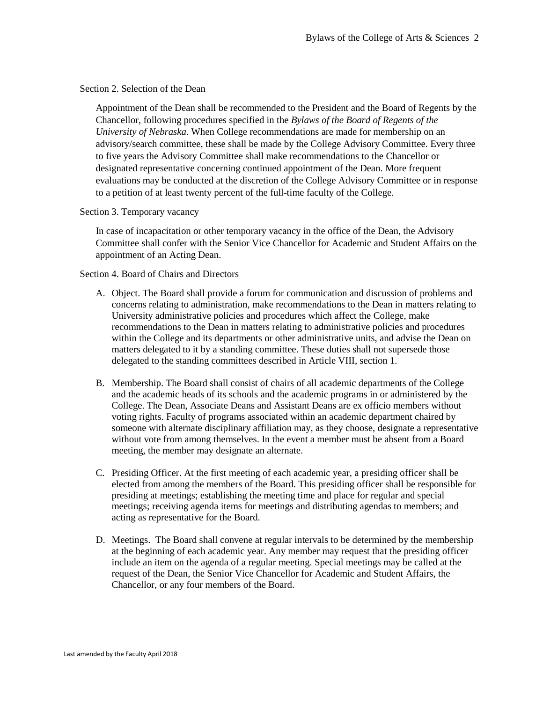#### Section 2. Selection of the Dean

Appointment of the Dean shall be recommended to the President and the Board of Regents by the Chancellor, following procedures specified in the *Bylaws of the Board of Regents of the University of Nebraska*. When College recommendations are made for membership on an advisory/search committee, these shall be made by the College Advisory Committee. Every three to five years the Advisory Committee shall make recommendations to the Chancellor or designated representative concerning continued appointment of the Dean. More frequent evaluations may be conducted at the discretion of the College Advisory Committee or in response to a petition of at least twenty percent of the full-time faculty of the College.

#### Section 3. Temporary vacancy

In case of incapacitation or other temporary vacancy in the office of the Dean, the Advisory Committee shall confer with the Senior Vice Chancellor for Academic and Student Affairs on the appointment of an Acting Dean.

#### Section 4. Board of Chairs and Directors

- A. Object. The Board shall provide a forum for communication and discussion of problems and concerns relating to administration, make recommendations to the Dean in matters relating to University administrative policies and procedures which affect the College, make recommendations to the Dean in matters relating to administrative policies and procedures within the College and its departments or other administrative units, and advise the Dean on matters delegated to it by a standing committee. These duties shall not supersede those delegated to the standing committees described in Article VIII, section 1.
- B. Membership. The Board shall consist of chairs of all academic departments of the College and the academic heads of its schools and the academic programs in or administered by the College. The Dean, Associate Deans and Assistant Deans are ex officio members without voting rights. Faculty of programs associated within an academic department chaired by someone with alternate disciplinary affiliation may, as they choose, designate a representative without vote from among themselves. In the event a member must be absent from a Board meeting, the member may designate an alternate.
- C. Presiding Officer. At the first meeting of each academic year, a presiding officer shall be elected from among the members of the Board. This presiding officer shall be responsible for presiding at meetings; establishing the meeting time and place for regular and special meetings; receiving agenda items for meetings and distributing agendas to members; and acting as representative for the Board.
- D. Meetings. The Board shall convene at regular intervals to be determined by the membership at the beginning of each academic year. Any member may request that the presiding officer include an item on the agenda of a regular meeting. Special meetings may be called at the request of the Dean, the Senior Vice Chancellor for Academic and Student Affairs, the Chancellor, or any four members of the Board.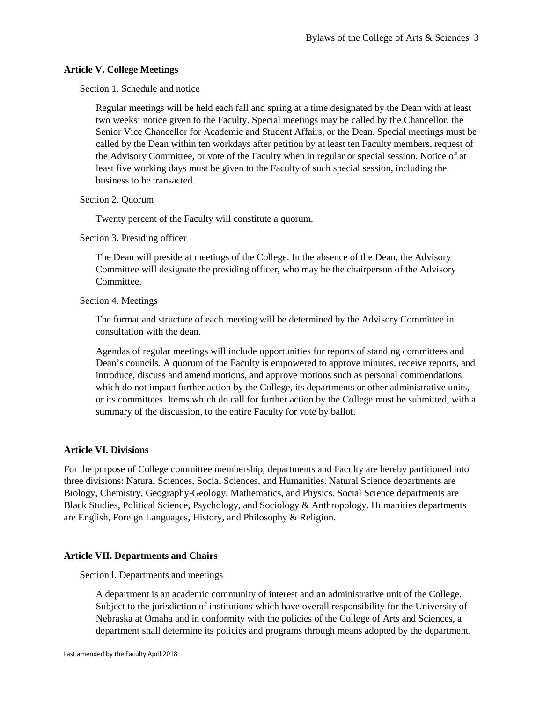## **Article V. College Meetings**

Section 1. Schedule and notice

Regular meetings will be held each fall and spring at a time designated by the Dean with at least two weeks' notice given to the Faculty. Special meetings may be called by the Chancellor, the Senior Vice Chancellor for Academic and Student Affairs, or the Dean. Special meetings must be called by the Dean within ten workdays after petition by at least ten Faculty members, request of the Advisory Committee, or vote of the Faculty when in regular or special session. Notice of at least five working days must be given to the Faculty of such special session, including the business to be transacted.

Section 2. Quorum

Twenty percent of the Faculty will constitute a quorum.

Section 3. Presiding officer

The Dean will preside at meetings of the College. In the absence of the Dean, the Advisory Committee will designate the presiding officer, who may be the chairperson of the Advisory Committee.

Section 4. Meetings

The format and structure of each meeting will be determined by the Advisory Committee in consultation with the dean.

Agendas of regular meetings will include opportunities for reports of standing committees and Dean's councils. A quorum of the Faculty is empowered to approve minutes, receive reports, and introduce, discuss and amend motions, and approve motions such as personal commendations which do not impact further action by the College, its departments or other administrative units, or its committees. Items which do call for further action by the College must be submitted, with a summary of the discussion, to the entire Faculty for vote by ballot.

# **Article VI. Divisions**

For the purpose of College committee membership, departments and Faculty are hereby partitioned into three divisions: Natural Sciences, Social Sciences, and Humanities. Natural Science departments are Biology, Chemistry, Geography-Geology, Mathematics, and Physics. Social Science departments are Black Studies, Political Science, Psychology, and Sociology & Anthropology. Humanities departments are English, Foreign Languages, History, and Philosophy & Religion.

# **Article VII. Departments and Chairs**

Section l. Departments and meetings

A department is an academic community of interest and an administrative unit of the College. Subject to the jurisdiction of institutions which have overall responsibility for the University of Nebraska at Omaha and in conformity with the policies of the College of Arts and Sciences, a department shall determine its policies and programs through means adopted by the department.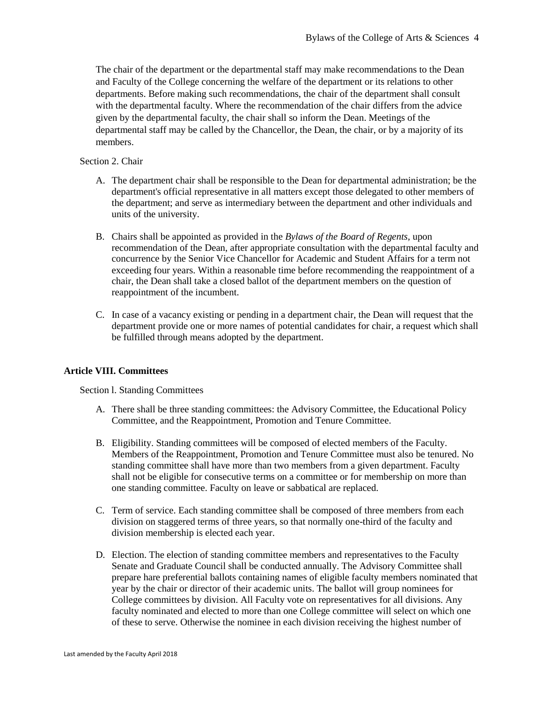The chair of the department or the departmental staff may make recommendations to the Dean and Faculty of the College concerning the welfare of the department or its relations to other departments. Before making such recommendations, the chair of the department shall consult with the departmental faculty. Where the recommendation of the chair differs from the advice given by the departmental faculty, the chair shall so inform the Dean. Meetings of the departmental staff may be called by the Chancellor, the Dean, the chair, or by a majority of its members.

## Section 2. Chair

- A. The department chair shall be responsible to the Dean for departmental administration; be the department's official representative in all matters except those delegated to other members of the department; and serve as intermediary between the department and other individuals and units of the university.
- B. Chairs shall be appointed as provided in the *Bylaws of the Board of Regents*, upon recommendation of the Dean, after appropriate consultation with the departmental faculty and concurrence by the Senior Vice Chancellor for Academic and Student Affairs for a term not exceeding four years. Within a reasonable time before recommending the reappointment of a chair, the Dean shall take a closed ballot of the department members on the question of reappointment of the incumbent.
- C. In case of a vacancy existing or pending in a department chair, the Dean will request that the department provide one or more names of potential candidates for chair, a request which shall be fulfilled through means adopted by the department.

# **Article VIII. Committees**

Section l. Standing Committees

- A. There shall be three standing committees: the Advisory Committee, the Educational Policy Committee, and the Reappointment, Promotion and Tenure Committee.
- B. Eligibility. Standing committees will be composed of elected members of the Faculty. Members of the Reappointment, Promotion and Tenure Committee must also be tenured. No standing committee shall have more than two members from a given department. Faculty shall not be eligible for consecutive terms on a committee or for membership on more than one standing committee. Faculty on leave or sabbatical are replaced.
- C. Term of service. Each standing committee shall be composed of three members from each division on staggered terms of three years, so that normally one-third of the faculty and division membership is elected each year.
- D. Election. The election of standing committee members and representatives to the Faculty Senate and Graduate Council shall be conducted annually. The Advisory Committee shall prepare hare preferential ballots containing names of eligible faculty members nominated that year by the chair or director of their academic units. The ballot will group nominees for College committees by division. All Faculty vote on representatives for all divisions. Any faculty nominated and elected to more than one College committee will select on which one of these to serve. Otherwise the nominee in each division receiving the highest number of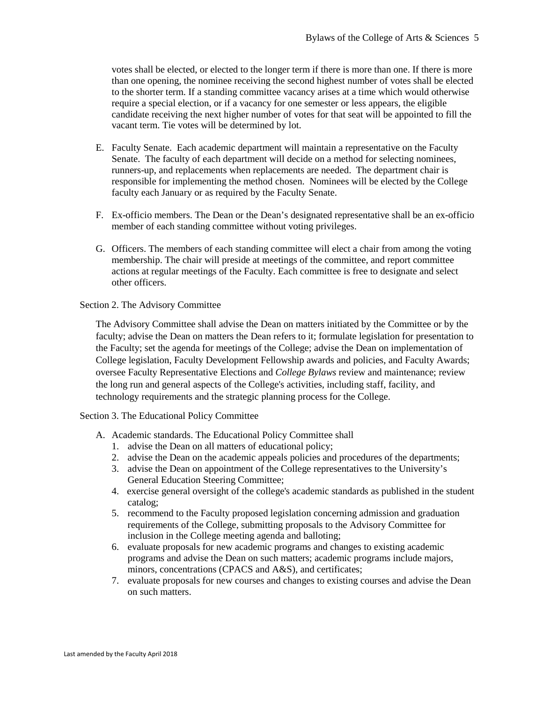votes shall be elected, or elected to the longer term if there is more than one. If there is more than one opening, the nominee receiving the second highest number of votes shall be elected to the shorter term. If a standing committee vacancy arises at a time which would otherwise require a special election, or if a vacancy for one semester or less appears, the eligible candidate receiving the next higher number of votes for that seat will be appointed to fill the vacant term. Tie votes will be determined by lot.

- E. Faculty Senate. Each academic department will maintain a representative on the Faculty Senate. The faculty of each department will decide on a method for selecting nominees, runners-up, and replacements when replacements are needed. The department chair is responsible for implementing the method chosen. Nominees will be elected by the College faculty each January or as required by the Faculty Senate.
- F. Ex-officio members. The Dean or the Dean's designated representative shall be an ex-officio member of each standing committee without voting privileges.
- G. Officers. The members of each standing committee will elect a chair from among the voting membership. The chair will preside at meetings of the committee, and report committee actions at regular meetings of the Faculty. Each committee is free to designate and select other officers.

Section 2. The Advisory Committee

The Advisory Committee shall advise the Dean on matters initiated by the Committee or by the faculty; advise the Dean on matters the Dean refers to it; formulate legislation for presentation to the Faculty; set the agenda for meetings of the College; advise the Dean on implementation of College legislation, Faculty Development Fellowship awards and policies, and Faculty Awards; oversee Faculty Representative Elections and *College Bylaws* review and maintenance; review the long run and general aspects of the College's activities, including staff, facility, and technology requirements and the strategic planning process for the College.

Section 3. The Educational Policy Committee

- A. Academic standards. The Educational Policy Committee shall
	- 1. advise the Dean on all matters of educational policy;
	- 2. advise the Dean on the academic appeals policies and procedures of the departments;
	- 3. advise the Dean on appointment of the College representatives to the University's General Education Steering Committee;
	- 4. exercise general oversight of the college's academic standards as published in the student catalog;
	- 5. recommend to the Faculty proposed legislation concerning admission and graduation requirements of the College, submitting proposals to the Advisory Committee for inclusion in the College meeting agenda and balloting;
	- 6. evaluate proposals for new academic programs and changes to existing academic programs and advise the Dean on such matters; academic programs include majors, minors, concentrations (CPACS and A&S), and certificates;
	- 7. evaluate proposals for new courses and changes to existing courses and advise the Dean on such matters.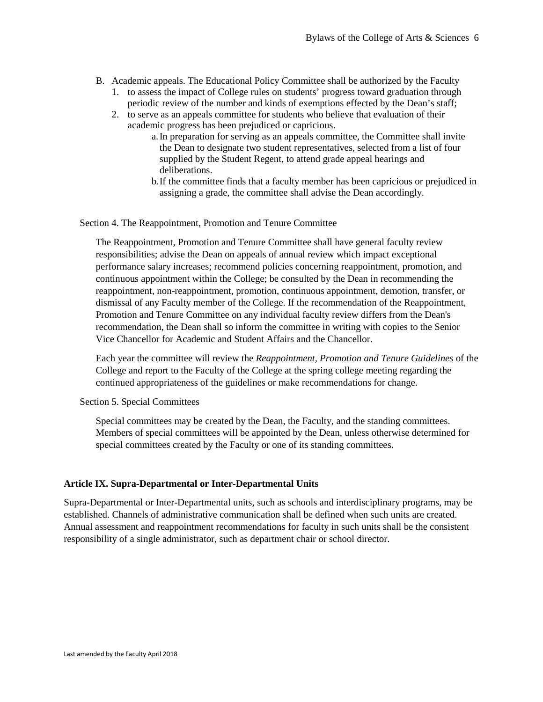- B. Academic appeals. The Educational Policy Committee shall be authorized by the Faculty
	- 1. to assess the impact of College rules on students' progress toward graduation through periodic review of the number and kinds of exemptions effected by the Dean's staff;
	- 2. to serve as an appeals committee for students who believe that evaluation of their academic progress has been prejudiced or capricious.
		- a.In preparation for serving as an appeals committee, the Committee shall invite the Dean to designate two student representatives, selected from a list of four supplied by the Student Regent, to attend grade appeal hearings and deliberations.
		- b.If the committee finds that a faculty member has been capricious or prejudiced in assigning a grade, the committee shall advise the Dean accordingly.

Section 4. The Reappointment, Promotion and Tenure Committee

The Reappointment, Promotion and Tenure Committee shall have general faculty review responsibilities; advise the Dean on appeals of annual review which impact exceptional performance salary increases; recommend policies concerning reappointment, promotion, and continuous appointment within the College; be consulted by the Dean in recommending the reappointment, non-reappointment, promotion, continuous appointment, demotion, transfer, or dismissal of any Faculty member of the College. If the recommendation of the Reappointment, Promotion and Tenure Committee on any individual faculty review differs from the Dean's recommendation, the Dean shall so inform the committee in writing with copies to the Senior Vice Chancellor for Academic and Student Affairs and the Chancellor.

Each year the committee will review the *Reappointment, Promotion and Tenure Guidelines* of the College and report to the Faculty of the College at the spring college meeting regarding the continued appropriateness of the guidelines or make recommendations for change.

Section 5. Special Committees

Special committees may be created by the Dean, the Faculty, and the standing committees. Members of special committees will be appointed by the Dean, unless otherwise determined for special committees created by the Faculty or one of its standing committees.

# **Article IX. Supra-Departmental or Inter-Departmental Units**

Supra-Departmental or Inter-Departmental units, such as schools and interdisciplinary programs, may be established. Channels of administrative communication shall be defined when such units are created. Annual assessment and reappointment recommendations for faculty in such units shall be the consistent responsibility of a single administrator, such as department chair or school director.